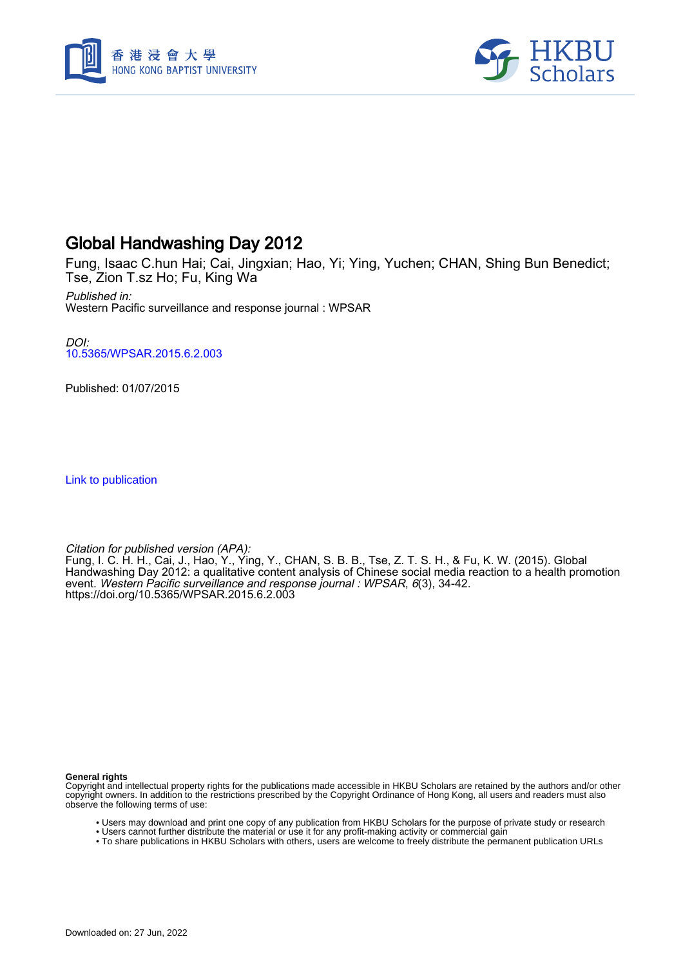



# Global Handwashing Day 2012

Fung, Isaac C.hun Hai; Cai, Jingxian; Hao, Yi; Ying, Yuchen; CHAN, Shing Bun Benedict; Tse, Zion T.sz Ho; Fu, King Wa

Published in: Western Pacific surveillance and response journal : WPSAR

DOI: [10.5365/WPSAR.2015.6.2.003](https://doi.org/10.5365/WPSAR.2015.6.2.003)

Published: 01/07/2015

[Link to publication](https://scholars.hkbu.edu.hk/en/publications/5b4b93a0-3241-447a-8c0f-6887c18c254a)

Citation for published version (APA):

Fung, I. C. H. H., Cai, J., Hao, Y., Ying, Y., CHAN, S. B. B., Tse, Z. T. S. H., & Fu, K. W. (2015). Global Handwashing Day 2012: a qualitative content analysis of Chinese social media reaction to a health promotion event. Western Pacific surveillance and response journal : WPSAR, 6(3), 34-42. <https://doi.org/10.5365/WPSAR.2015.6.2.003>

**General rights**

Copyright and intellectual property rights for the publications made accessible in HKBU Scholars are retained by the authors and/or other copyright owners. In addition to the restrictions prescribed by the Copyright Ordinance of Hong Kong, all users and readers must also observe the following terms of use:

- Users may download and print one copy of any publication from HKBU Scholars for the purpose of private study or research
- Users cannot further distribute the material or use it for any profit-making activity or commercial gain
- To share publications in HKBU Scholars with others, users are welcome to freely distribute the permanent publication URLs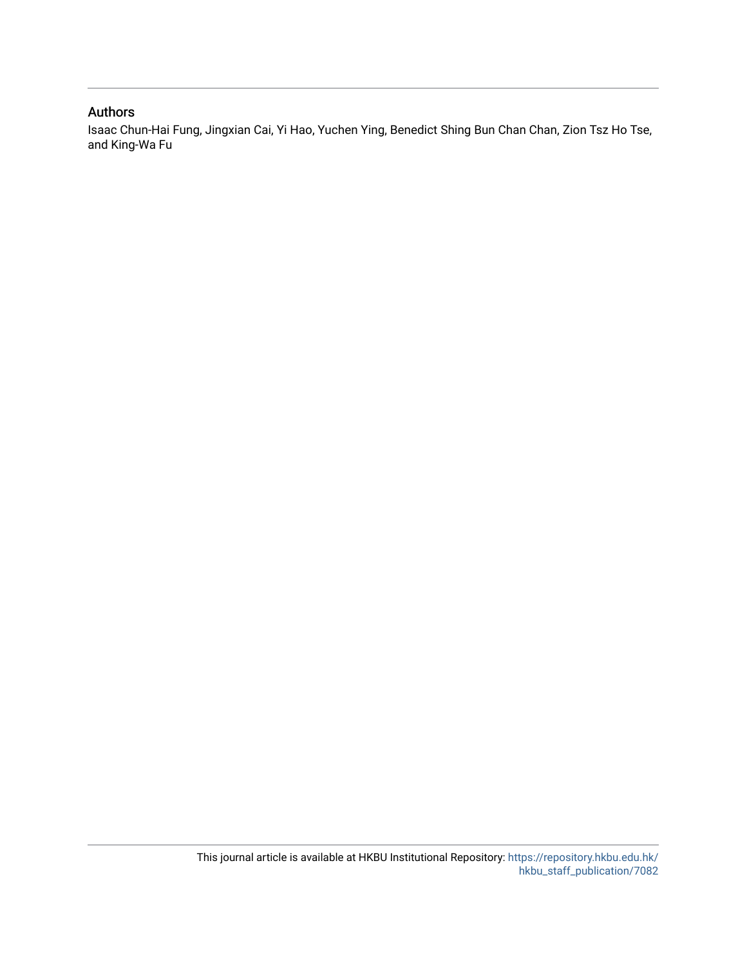# Authors

Isaac Chun-Hai Fung, Jingxian Cai, Yi Hao, Yuchen Ying, Benedict Shing Bun Chan Chan, Zion Tsz Ho Tse, and King-Wa Fu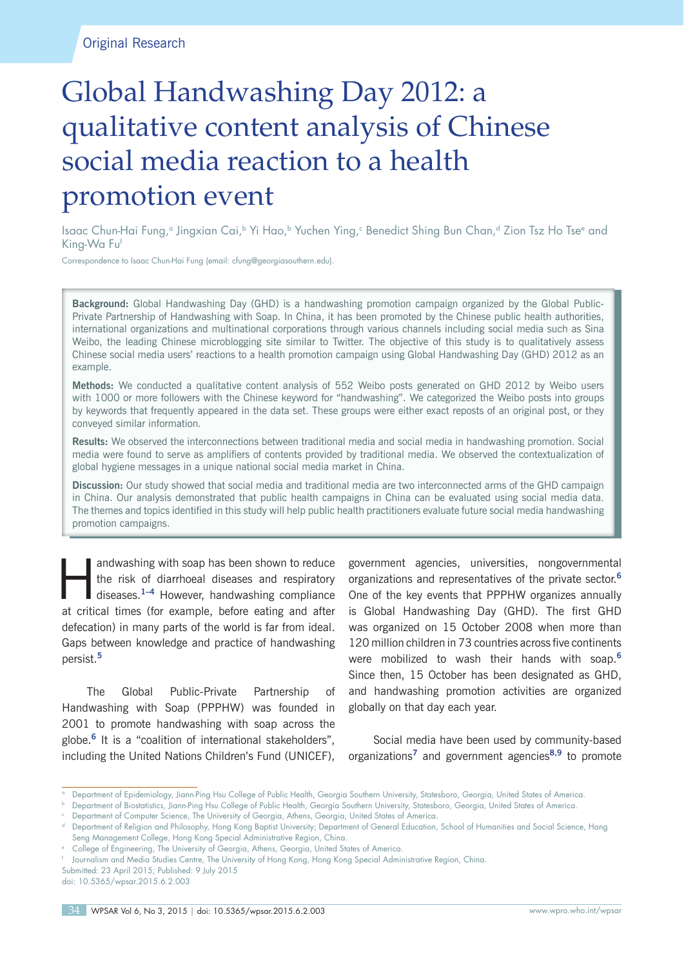# Global Handwashing Day 2012: a qualitative content analysis of Chinese social media reaction to a health promotion event

Isaac Chun-Hai Fung,ª Jingxian Cai,ʰ Yi Hao,ʰ Yuchen Ying,ª Benedict Shing Bun Chan,ª Zion Tsz Ho Tseª and King-Wa Fuf

Correspondence to Isaac Chun-Hai Fung (email: cfung@georgiasouthern.edu).

**Background:** Global Handwashing Day (GHD) is a handwashing promotion campaign organized by the Global Public-Private Partnership of Handwashing with Soap. In China, it has been promoted by the Chinese public health authorities, international organizations and multinational corporations through various channels including social media such as Sina Weibo, the leading Chinese microblogging site similar to Twitter. The objective of this study is to qualitatively assess Chinese social media users' reactions to a health promotion campaign using Global Handwashing Day (GHD) 2012 as an example.

**Methods:** We conducted a qualitative content analysis of 552 Weibo posts generated on GHD 2012 by Weibo users with 1000 or more followers with the Chinese keyword for "handwashing". We categorized the Weibo posts into groups by keywords that frequently appeared in the data set. These groups were either exact reposts of an original post, or they conveyed similar information.

**Results:** We observed the interconnections between traditional media and social media in handwashing promotion. Social media were found to serve as amplifiers of contents provided by traditional media. We observed the contextualization of global hygiene messages in a unique national social media market in China.

**Discussion:** Our study showed that social media and traditional media are two interconnected arms of the GHD campaign in China. Our analysis demonstrated that public health campaigns in China can be evaluated using social media data. The themes and topics identified in this study will help public health practitioners evaluate future social media handwashing promotion campaigns.

andwashing with soap has been shown to reduce<br>the risk of diarrhoeal diseases and respiratory<br>diseases.<sup>1–4</sup> However, handwashing compliance the risk of diarrhoeal diseases and respiratory at critical times (for example, before eating and after defecation) in many parts of the world is far from ideal. Gaps between knowledge and practice of handwashing persist.**<sup>5</sup>**

The Global Public-Private Partnership of Handwashing with Soap (PPPHW) was founded in 2001 to promote handwashing with soap across the globe.**<sup>6</sup>** It is a "coalition of international stakeholders", including the United Nations Children's Fund (UNICEF),

government agencies, universities, nongovernmental organizations and representatives of the private sector.**<sup>6</sup>** One of the key events that PPPHW organizes annually is Global Handwashing Day (GHD). The first GHD was organized on 15 October 2008 when more than 120 million children in 73 countries across five continents were mobilized to wash their hands with soap.**<sup>6</sup>** Since then, 15 October has been designated as GHD, and handwashing promotion activities are organized globally on that day each year.

Social media have been used by community-based organizations**<sup>7</sup>** and government agencies**8,9** to promote

Submitted: 23 April 2015; Published: 9 July 2015 doi: 10.5365/wpsar.2015.6.2.003

a Department of Epidemiology, Jiann-Ping Hsu College of Public Health, Georgia Southern University, Statesboro, Georgia, United States of America.

b Department of Biostatistics, Jiann-Ping Hsu College of Public Health, Georgia Southern University, Statesboro, Georgia, United States of America.

Department of Computer Science, The University of Georgia, Athens, Georgia, United States of America.

d Department of Religion and Philosophy, Hong Kong Baptist University; Department of General Education, School of Humanities and Social Science, Hang Seng Management College, Hong Kong Special Administrative Region, China.

e College of Engineering, The University of Georgia, Athens, Georgia, United States of America.

f Journalism and Media Studies Centre, The University of Hong Kong, Hong Kong Special Administrative Region, China.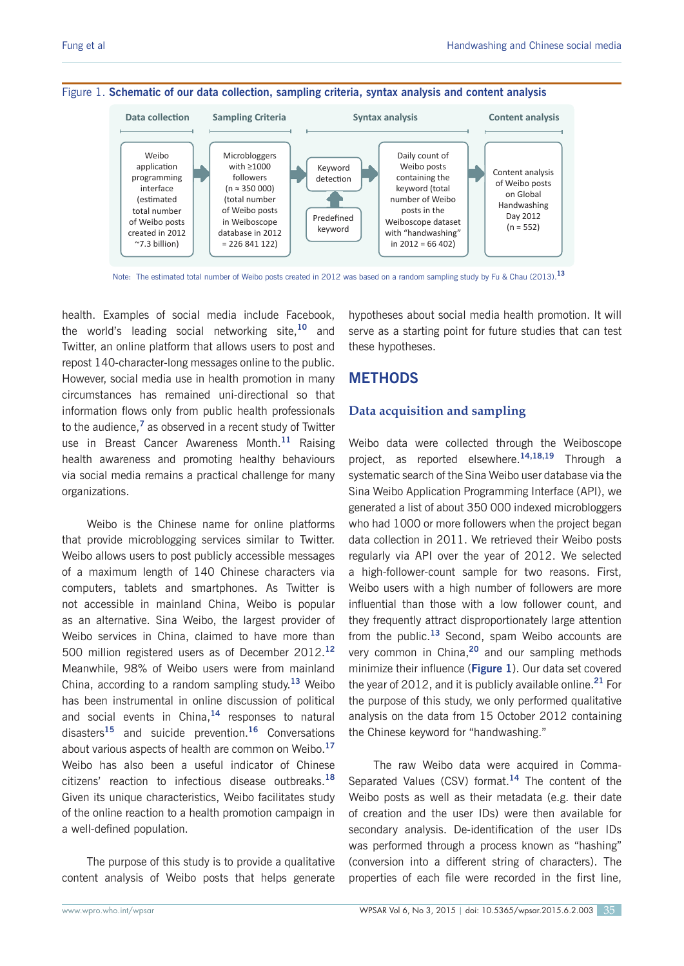

Note: The estimated total number of Weibo posts created in 2012 was based on a random sampling study by Fu & Chau (2013).**<sup>13</sup>**

health. Examples of social media include Facebook, the world's leading social networking site,**<sup>10</sup>** and Twitter, an online platform that allows users to post and repost 140-character-long messages online to the public. However, social media use in health promotion in many circumstances has remained uni-directional so that information flows only from public health professionals to the audience,**<sup>7</sup>** as observed in a recent study of Twitter use in Breast Cancer Awareness Month.**<sup>11</sup>** Raising health awareness and promoting healthy behaviours via social media remains a practical challenge for many organizations.

Weibo is the Chinese name for online platforms that provide microblogging services similar to Twitter. Weibo allows users to post publicly accessible messages of a maximum length of 140 Chinese characters via computers, tablets and smartphones. As Twitter is not accessible in mainland China, Weibo is popular as an alternative. Sina Weibo, the largest provider of Weibo services in China, claimed to have more than 500 million registered users as of December 2012.**<sup>12</sup>** Meanwhile, 98% of Weibo users were from mainland China, according to a random sampling study.**<sup>13</sup>** Weibo has been instrumental in online discussion of political and social events in China,**<sup>14</sup>** responses to natural disasters**<sup>15</sup>** and suicide prevention.**<sup>16</sup>** Conversations about various aspects of health are common on Weibo.**<sup>17</sup>** Weibo has also been a useful indicator of Chinese citizens' reaction to infectious disease outbreaks.**<sup>18</sup>** Given its unique characteristics, Weibo facilitates study of the online reaction to a health promotion campaign in a well-defined population.

The purpose of this study is to provide a qualitative content analysis of Weibo posts that helps generate hypotheses about social media health promotion. It will serve as a starting point for future studies that can test these hypotheses.

# **METHODS**

#### **Data acquisition and sampling**

Weibo data were collected through the Weiboscope project, as reported elsewhere.**14,18,19** Through a systematic search of the Sina Weibo user database via the Sina Weibo Application Programming Interface (API), we generated a list of about 350 000 indexed microbloggers who had 1000 or more followers when the project began data collection in 2011. We retrieved their Weibo posts regularly via API over the year of 2012. We selected a high-follower-count sample for two reasons. First, Weibo users with a high number of followers are more influential than those with a low follower count, and they frequently attract disproportionately large attention from the public.**<sup>13</sup>** Second, spam Weibo accounts are very common in China,**<sup>20</sup>** and our sampling methods minimize their influence (**Figure 1**). Our data set covered the year of 2012, and it is publicly available online.**<sup>21</sup>** For the purpose of this study, we only performed qualitative analysis on the data from 15 October 2012 containing the Chinese keyword for "handwashing."

The raw Weibo data were acquired in Comma-Separated Values (CSV) format.**<sup>14</sup>** The content of the Weibo posts as well as their metadata (e.g. their date of creation and the user IDs) were then available for secondary analysis. De-identification of the user IDs was performed through a process known as "hashing" (conversion into a different string of characters). The properties of each file were recorded in the first line,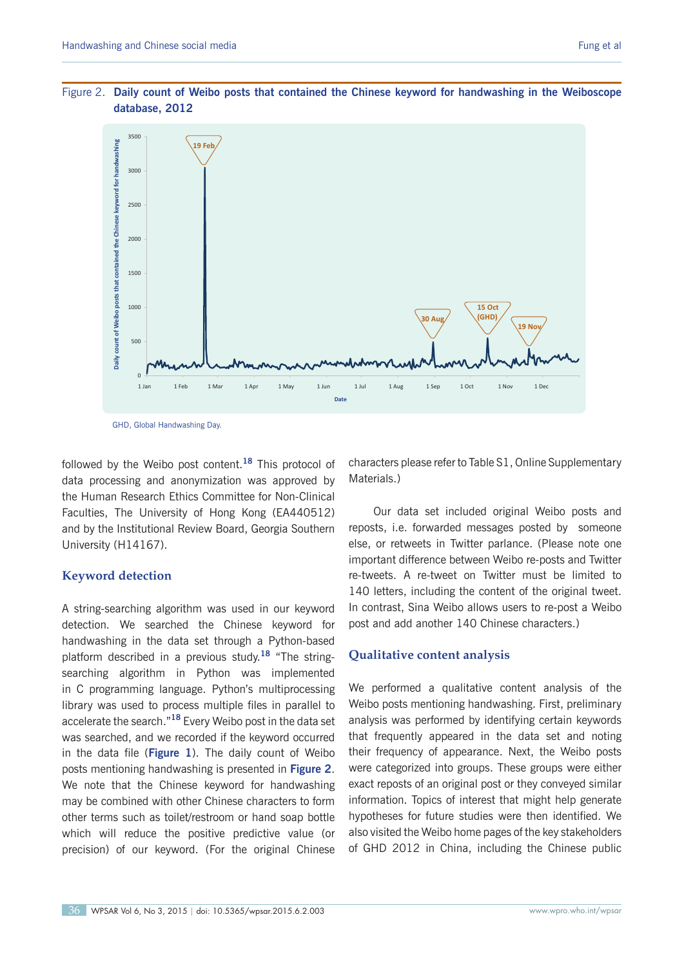

GHD, Global Handwashing Day.

followed by the Weibo post content.**<sup>18</sup>** This protocol of data processing and anonymization was approved by the Human Research Ethics Committee for Non-Clinical Faculties, The University of Hong Kong (EA440512) and by the Institutional Review Board, Georgia Southern University (H14167).

#### **Keyword detection**

A string-searching algorithm was used in our keyword detection. We searched the Chinese keyword for handwashing in the data set through a Python-based platform described in a previous study.**<sup>18</sup>** "The stringsearching algorithm in Python was implemented in C programming language. Python's multiprocessing library was used to process multiple files in parallel to accelerate the search."**<sup>18</sup>** Every Weibo post in the data set was searched, and we recorded if the keyword occurred in the data file (**Figure 1**). The daily count of Weibo posts mentioning handwashing is presented in **Figure 2**. We note that the Chinese keyword for handwashing may be combined with other Chinese characters to form other terms such as toilet/restroom or hand soap bottle which will reduce the positive predictive value (or precision) of our keyword. (For the original Chinese

characters please refer to Table S1, Online Supplementary Materials.)

Our data set included original Weibo posts and reposts, i.e. forwarded messages posted by someone else, or retweets in Twitter parlance. (Please note one important difference between Weibo re-posts and Twitter re-tweets. A re-tweet on Twitter must be limited to 140 letters, including the content of the original tweet. In contrast, Sina Weibo allows users to re-post a Weibo post and add another 140 Chinese characters.)

# **Qualitative content analysis**

We performed a qualitative content analysis of the Weibo posts mentioning handwashing. First, preliminary analysis was performed by identifying certain keywords that frequently appeared in the data set and noting their frequency of appearance. Next, the Weibo posts were categorized into groups. These groups were either exact reposts of an original post or they conveyed similar information. Topics of interest that might help generate hypotheses for future studies were then identified. We also visited the Weibo home pages of the key stakeholders of GHD 2012 in China, including the Chinese public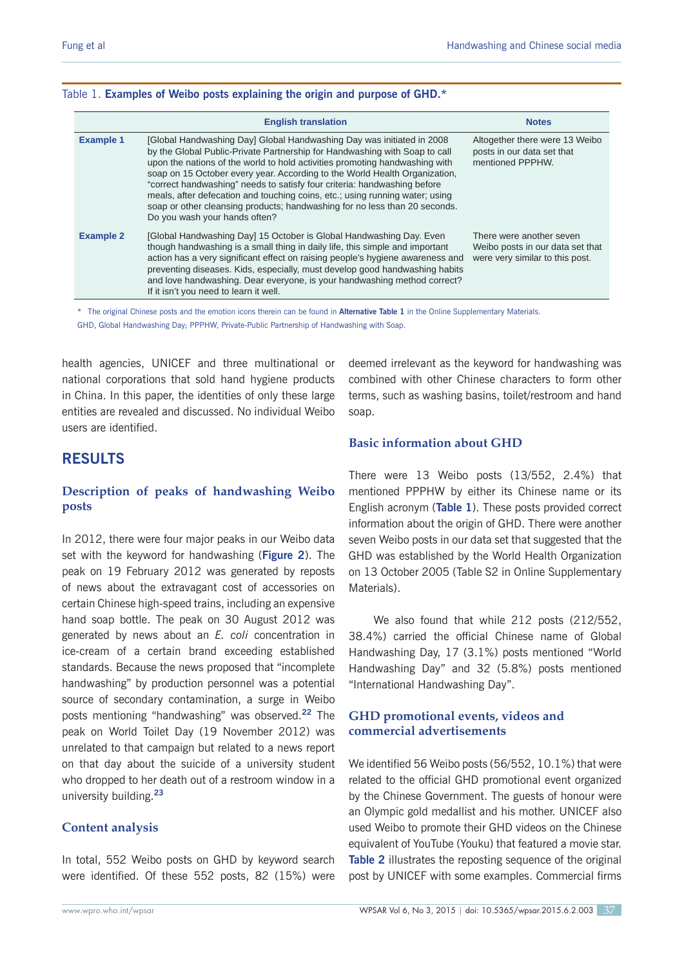#### Table 1. **Examples of Weibo posts explaining the origin and purpose of GHD.\***

|                  | <b>English translation</b>                                                                                                                                                                                                                                                                                                                                                                                                                                                                                                                                                                  | <b>Notes</b>                                                                                    |
|------------------|---------------------------------------------------------------------------------------------------------------------------------------------------------------------------------------------------------------------------------------------------------------------------------------------------------------------------------------------------------------------------------------------------------------------------------------------------------------------------------------------------------------------------------------------------------------------------------------------|-------------------------------------------------------------------------------------------------|
| <b>Example 1</b> | [Global Handwashing Day] Global Handwashing Day was initiated in 2008<br>by the Global Public-Private Partnership for Handwashing with Soap to call<br>upon the nations of the world to hold activities promoting handwashing with<br>soap on 15 October every year. According to the World Health Organization,<br>"correct handwashing" needs to satisfy four criteria: handwashing before<br>meals, after defecation and touching coins, etc.; using running water; using<br>soap or other cleansing products; handwashing for no less than 20 seconds.<br>Do you wash your hands often? | Altogether there were 13 Weibo<br>posts in our data set that<br>mentioned PPPHW.                |
| <b>Example 2</b> | [Global Handwashing Day] 15 October is Global Handwashing Day. Even<br>though handwashing is a small thing in daily life, this simple and important<br>action has a very significant effect on raising people's hygiene awareness and<br>preventing diseases. Kids, especially, must develop good handwashing habits<br>and love handwashing. Dear everyone, is your handwashing method correct?<br>If it isn't you need to learn it well.                                                                                                                                                  | There were another seven<br>Weibo posts in our data set that<br>were very similar to this post. |

\* The original Chinese posts and the emotion icons therein can be found in **Alternative Table 1** in the Online Supplementary Materials. GHD, Global Handwashing Day; PPPHW, Private-Public Partnership of Handwashing with Soap.

health agencies, UNICEF and three multinational or national corporations that sold hand hygiene products in China. In this paper, the identities of only these large entities are revealed and discussed. No individual Weibo users are identified.

# **RESULTS**

# **Description of peaks of handwashing Weibo posts**

In 2012, there were four major peaks in our Weibo data set with the keyword for handwashing (**Figure 2**). The peak on 19 February 2012 was generated by reposts of news about the extravagant cost of accessories on certain Chinese high-speed trains, including an expensive hand soap bottle. The peak on 30 August 2012 was generated by news about an *E. coli* concentration in ice-cream of a certain brand exceeding established standards. Because the news proposed that "incomplete handwashing" by production personnel was a potential source of secondary contamination, a surge in Weibo posts mentioning "handwashing" was observed.**<sup>22</sup>** The peak on World Toilet Day (19 November 2012) was unrelated to that campaign but related to a news report on that day about the suicide of a university student who dropped to her death out of a restroom window in a university building.**<sup>23</sup>**

# **Content analysis**

In total, 552 Weibo posts on GHD by keyword search were identified. Of these 552 posts, 82 (15%) were

deemed irrelevant as the keyword for handwashing was combined with other Chinese characters to form other terms, such as washing basins, toilet/restroom and hand soap.

# **Basic information about GHD**

There were 13 Weibo posts (13/552, 2.4%) that mentioned PPPHW by either its Chinese name or its English acronym (**Table 1**). These posts provided correct information about the origin of GHD. There were another seven Weibo posts in our data set that suggested that the GHD was established by the World Health Organization on 13 October 2005 (Table S2 in Online Supplementary Materials).

We also found that while 212 posts (212/552, 38.4%) carried the official Chinese name of Global Handwashing Day, 17 (3.1%) posts mentioned "World Handwashing Day" and 32 (5.8%) posts mentioned "International Handwashing Day".

# **GHD promotional events, videos and commercial advertisements**

We identified 56 Weibo posts (56/552, 10.1%) that were related to the official GHD promotional event organized by the Chinese Government. The guests of honour were an Olympic gold medallist and his mother. UNICEF also used Weibo to promote their GHD videos on the Chinese equivalent of YouTube (Youku) that featured a movie star. **Table 2** illustrates the reposting sequence of the original post by UNICEF with some examples. Commercial firms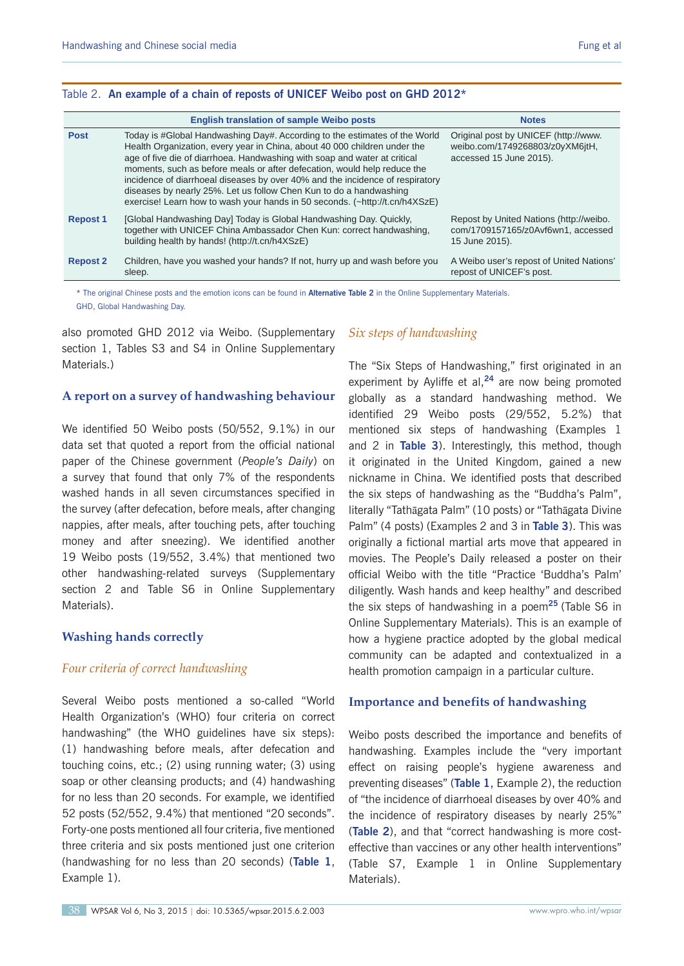|  |  |  | Table 2. An example of a chain of reposts of UNICEF Weibo post on GHD 2012* |  |  |
|--|--|--|-----------------------------------------------------------------------------|--|--|
|--|--|--|-----------------------------------------------------------------------------|--|--|

|                 | <b>English translation of sample Weibo posts</b>                                                                                                                                                                                                                                                                                                                                                                                                                                                                                                       | <b>Notes</b>                                                                                       |
|-----------------|--------------------------------------------------------------------------------------------------------------------------------------------------------------------------------------------------------------------------------------------------------------------------------------------------------------------------------------------------------------------------------------------------------------------------------------------------------------------------------------------------------------------------------------------------------|----------------------------------------------------------------------------------------------------|
| <b>Post</b>     | Today is #Global Handwashing Day#. According to the estimates of the World<br>Health Organization, every year in China, about 40 000 children under the<br>age of five die of diarrhoea. Handwashing with soap and water at critical<br>moments, such as before meals or after defecation, would help reduce the<br>incidence of diarrhoeal diseases by over 40% and the incidence of respiratory<br>diseases by nearly 25%. Let us follow Chen Kun to do a handwashing<br>exercise! Learn how to wash your hands in 50 seconds. (~http://t.cn/h4XSzE) | Original post by UNICEF (http://www.<br>weibo.com/1749268803/z0yXM6jtH,<br>accessed 15 June 2015). |
| <b>Repost 1</b> | [Global Handwashing Day] Today is Global Handwashing Day. Quickly,<br>together with UNICEF China Ambassador Chen Kun: correct handwashing,<br>building health by hands! (http://t.cn/h4XSzE)                                                                                                                                                                                                                                                                                                                                                           | Repost by United Nations (http://weibo.<br>com/1709157165/z0Avf6wn1, accessed<br>15 June 2015).    |
| <b>Repost 2</b> | Children, have you washed your hands? If not, hurry up and wash before you<br>sleep.                                                                                                                                                                                                                                                                                                                                                                                                                                                                   | A Weibo user's repost of United Nations'<br>repost of UNICEF's post.                               |

\* The original Chinese posts and the emotion icons can be found in **Alternative Table 2** in the Online Supplementary Materials. GHD, Global Handwashing Day.

also promoted GHD 2012 via Weibo. (Supplementary section 1, Tables S3 and S4 in Online Supplementary Materials.)

#### **A report on a survey of handwashing behaviour**

We identified 50 Weibo posts (50/552, 9.1%) in our data set that quoted a report from the official national paper of the Chinese government (*People's Daily*) on a survey that found that only 7% of the respondents washed hands in all seven circumstances specified in the survey (after defecation, before meals, after changing nappies, after meals, after touching pets, after touching money and after sneezing). We identified another 19 Weibo posts (19/552, 3.4%) that mentioned two other handwashing-related surveys (Supplementary section 2 and Table S6 in Online Supplementary Materials).

#### **Washing hands correctly**

# *Four criteria of correct handwashing*

Several Weibo posts mentioned a so-called "World Health Organization's (WHO) four criteria on correct handwashing" (the WHO guidelines have six steps): (1) handwashing before meals, after defecation and touching coins, etc.; (2) using running water; (3) using soap or other cleansing products; and (4) handwashing for no less than 20 seconds. For example, we identified 52 posts (52/552, 9.4%) that mentioned "20 seconds". Forty-one posts mentioned all four criteria, five mentioned three criteria and six posts mentioned just one criterion (handwashing for no less than 20 seconds) (**Table 1**, Example 1).

# *Six steps of handwashing*

The "Six Steps of Handwashing," first originated in an experiment by Ayliffe et al,**<sup>24</sup>** are now being promoted globally as a standard handwashing method. We identified 29 Weibo posts (29/552, 5.2%) that mentioned six steps of handwashing (Examples 1 and 2 in **Table 3**). Interestingly, this method, though it originated in the United Kingdom, gained a new nickname in China. We identified posts that described the six steps of handwashing as the "Buddha's Palm", literally "Tathāgata Palm" (10 posts) or "Tathāgata Divine Palm" (4 posts) (Examples 2 and 3 in **Table 3**). This was originally a fictional martial arts move that appeared in movies. The People's Daily released a poster on their official Weibo with the title "Practice 'Buddha's Palm' diligently. Wash hands and keep healthy" and described the six steps of handwashing in a poem**<sup>25</sup>**(Table S6 in Online Supplementary Materials). This is an example of how a hygiene practice adopted by the global medical community can be adapted and contextualized in a health promotion campaign in a particular culture.

#### **Importance and benefits of handwashing**

Weibo posts described the importance and benefits of handwashing. Examples include the "very important effect on raising people's hygiene awareness and preventing diseases" (**Table 1**, Example 2), the reduction of "the incidence of diarrhoeal diseases by over 40% and the incidence of respiratory diseases by nearly 25%" (**Table 2**), and that "correct handwashing is more costeffective than vaccines or any other health interventions" (Table S7, Example 1 in Online Supplementary Materials).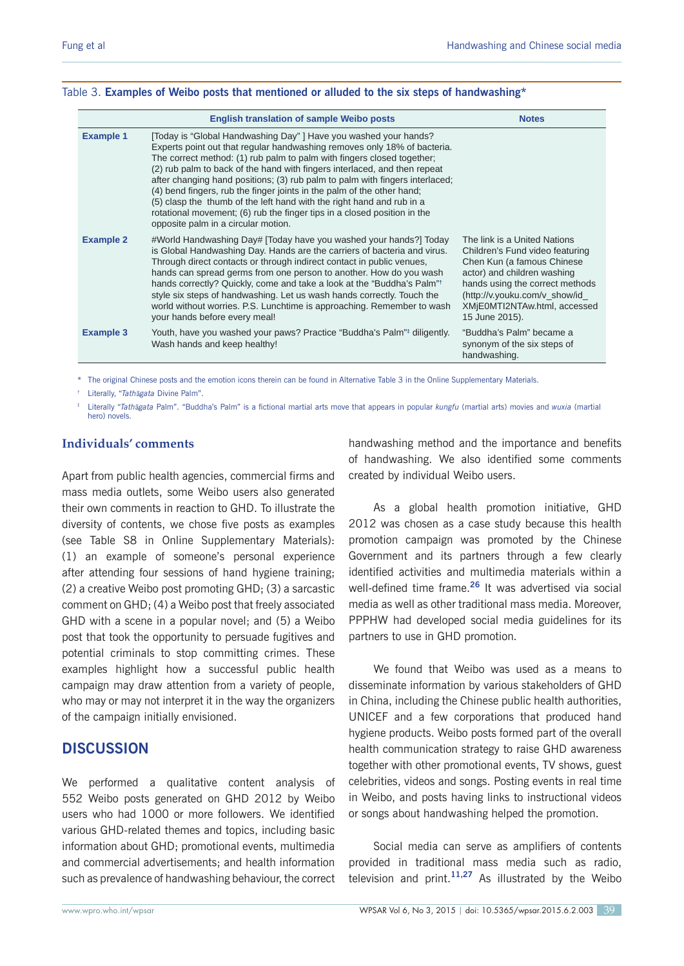|                  | <b>English translation of sample Weibo posts</b>                                                                                                                                                                                                                                                                                                                                                                                                                                                                                                                                                                                                         | <b>Notes</b>                                                                                                                                                                                                                                        |
|------------------|----------------------------------------------------------------------------------------------------------------------------------------------------------------------------------------------------------------------------------------------------------------------------------------------------------------------------------------------------------------------------------------------------------------------------------------------------------------------------------------------------------------------------------------------------------------------------------------------------------------------------------------------------------|-----------------------------------------------------------------------------------------------------------------------------------------------------------------------------------------------------------------------------------------------------|
| <b>Example 1</b> | [Today is "Global Handwashing Day"] Have you washed your hands?<br>Experts point out that regular handwashing removes only 18% of bacteria.<br>The correct method: (1) rub palm to palm with fingers closed together;<br>(2) rub palm to back of the hand with fingers interlaced, and then repeat<br>after changing hand positions; (3) rub palm to palm with fingers interlaced;<br>(4) bend fingers, rub the finger joints in the palm of the other hand;<br>(5) clasp the thumb of the left hand with the right hand and rub in a<br>rotational movement; (6) rub the finger tips in a closed position in the<br>opposite palm in a circular motion. |                                                                                                                                                                                                                                                     |
| <b>Example 2</b> | #World Handwashing Day# [Today have you washed your hands?] Today<br>is Global Handwashing Day. Hands are the carriers of bacteria and virus.<br>Through direct contacts or through indirect contact in public venues,<br>hands can spread germs from one person to another. How do you wash<br>hands correctly? Quickly, come and take a look at the "Buddha's Palm" <sup>†</sup><br>style six steps of handwashing. Let us wash hands correctly. Touch the<br>world without worries. P.S. Lunchtime is approaching. Remember to wash<br>your hands before every meal!                                                                                  | The link is a United Nations<br>Children's Fund video featuring<br>Chen Kun (a famous Chinese<br>actor) and children washing<br>hands using the correct methods<br>(http://v.youku.com/v_show/id_<br>XMjE0MTI2NTAw.html, accessed<br>15 June 2015). |
| <b>Example 3</b> | Youth, have you washed your paws? Practice "Buddha's Palm" diligently.<br>Wash hands and keep healthy!                                                                                                                                                                                                                                                                                                                                                                                                                                                                                                                                                   | "Buddha's Palm" became a<br>synonym of the six steps of<br>handwashing.                                                                                                                                                                             |

#### Table 3. **Examples of Weibo posts that mentioned or alluded to the six steps of handwashing\***

\* The original Chinese posts and the emotion icons therein can be found in Alternative Table 3 in the Online Supplementary Materials.

† Literally, "*Tath*ā*gata* Divine Palm".

 Literally "*Tath*ā*gata* Palm". "Buddha's Palm" is a fictional martial arts move that appears in popular *kungfu* (martial arts) movies and *wuxia* (martial hero) novels.

# Individuals' comments

Apart from public health agencies, commercial firms and mass media outlets, some Weibo users also generated their own comments in reaction to GHD. To illustrate the diversity of contents, we chose five posts as examples (see Table S8 in Online Supplementary Materials): (1) an example of someone's personal experience after attending four sessions of hand hygiene training; (2) a creative Weibo post promoting GHD; (3) a sarcastic comment on GHD; (4) a Weibo post that freely associated GHD with a scene in a popular novel; and (5) a Weibo post that took the opportunity to persuade fugitives and potential criminals to stop committing crimes. These examples highlight how a successful public health campaign may draw attention from a variety of people, who may or may not interpret it in the way the organizers of the campaign initially envisioned.

# **DISCUSSION**

We performed a qualitative content analysis of 552 Weibo posts generated on GHD 2012 by Weibo users who had 1000 or more followers. We identified various GHD-related themes and topics, including basic information about GHD; promotional events, multimedia and commercial advertisements; and health information such as prevalence of handwashing behaviour, the correct

handwashing method and the importance and benefits of handwashing. We also identified some comments created by individual Weibo users.

As a global health promotion initiative, GHD 2012 was chosen as a case study because this health promotion campaign was promoted by the Chinese Government and its partners through a few clearly identified activities and multimedia materials within a well-defined time frame.**<sup>26</sup>** It was advertised via social media as well as other traditional mass media. Moreover, PPPHW had developed social media guidelines for its partners to use in GHD promotion.

We found that Weibo was used as a means to disseminate information by various stakeholders of GHD in China, including the Chinese public health authorities, UNICEF and a few corporations that produced hand hygiene products. Weibo posts formed part of the overall health communication strategy to raise GHD awareness together with other promotional events, TV shows, guest celebrities, videos and songs. Posting events in real time in Weibo, and posts having links to instructional videos or songs about handwashing helped the promotion.

Social media can serve as amplifiers of contents provided in traditional mass media such as radio, television and print.**11,27** As illustrated by the Weibo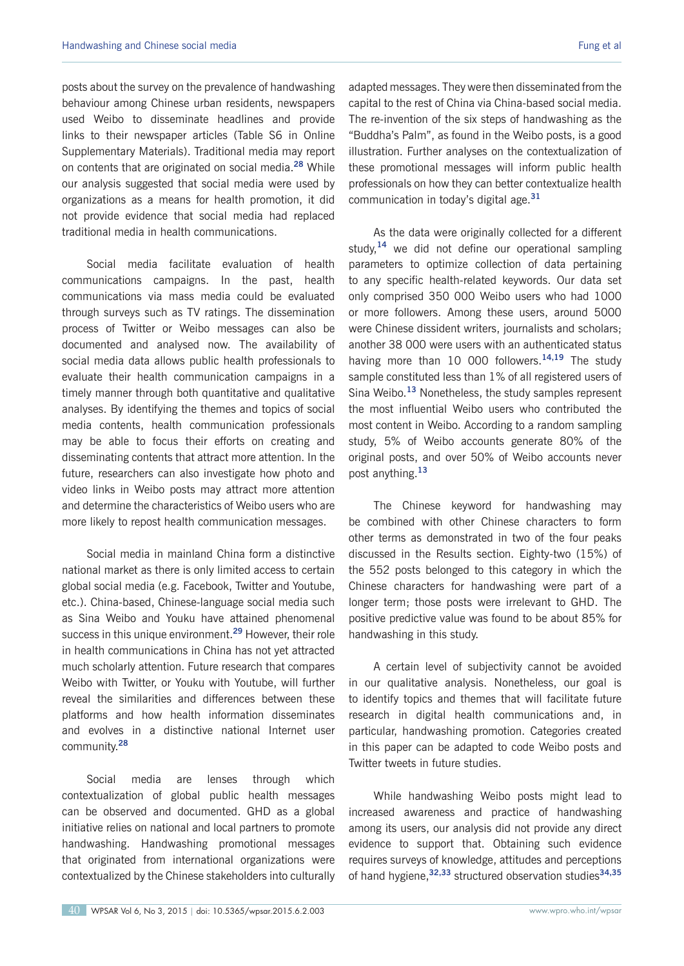posts about the survey on the prevalence of handwashing behaviour among Chinese urban residents, newspapers used Weibo to disseminate headlines and provide links to their newspaper articles (Table S6 in Online Supplementary Materials). Traditional media may report on contents that are originated on social media.**<sup>28</sup>** While our analysis suggested that social media were used by organizations as a means for health promotion, it did not provide evidence that social media had replaced traditional media in health communications.

Social media facilitate evaluation of health communications campaigns. In the past, health communications via mass media could be evaluated through surveys such as TV ratings. The dissemination process of Twitter or Weibo messages can also be documented and analysed now. The availability of social media data allows public health professionals to evaluate their health communication campaigns in a timely manner through both quantitative and qualitative analyses. By identifying the themes and topics of social media contents, health communication professionals may be able to focus their efforts on creating and disseminating contents that attract more attention. In the future, researchers can also investigate how photo and video links in Weibo posts may attract more attention and determine the characteristics of Weibo users who are more likely to repost health communication messages.

Social media in mainland China form a distinctive national market as there is only limited access to certain global social media (e.g. Facebook, Twitter and Youtube, etc.). China-based, Chinese-language social media such as Sina Weibo and Youku have attained phenomenal success in this unique environment.**<sup>29</sup>** However, their role in health communications in China has not yet attracted much scholarly attention. Future research that compares Weibo with Twitter, or Youku with Youtube, will further reveal the similarities and differences between these platforms and how health information disseminates and evolves in a distinctive national Internet user community.**<sup>28</sup>**

Social media are lenses through which contextualization of global public health messages can be observed and documented. GHD as a global initiative relies on national and local partners to promote handwashing. Handwashing promotional messages that originated from international organizations were contextualized by the Chinese stakeholders into culturally

adapted messages. They were then disseminated from the capital to the rest of China via China-based social media. The re-invention of the six steps of handwashing as the "Buddha's Palm", as found in the Weibo posts, is a good illustration. Further analyses on the contextualization of these promotional messages will inform public health professionals on how they can better contextualize health communication in today's digital age.**<sup>31</sup>**

As the data were originally collected for a different study,**<sup>14</sup>** we did not define our operational sampling parameters to optimize collection of data pertaining to any specific health-related keywords. Our data set only comprised 350 000 Weibo users who had 1000 or more followers. Among these users, around 5000 were Chinese dissident writers, journalists and scholars; another 38 000 were users with an authenticated status having more than 10 000 followers.**14,19** The study sample constituted less than 1% of all registered users of Sina Weibo.**<sup>13</sup>** Nonetheless, the study samples represent the most influential Weibo users who contributed the most content in Weibo. According to a random sampling study, 5% of Weibo accounts generate 80% of the original posts, and over 50% of Weibo accounts never post anything.**<sup>13</sup>**

The Chinese keyword for handwashing may be combined with other Chinese characters to form other terms as demonstrated in two of the four peaks discussed in the Results section. Eighty-two (15%) of the 552 posts belonged to this category in which the Chinese characters for handwashing were part of a longer term; those posts were irrelevant to GHD. The positive predictive value was found to be about 85% for handwashing in this study.

A certain level of subjectivity cannot be avoided in our qualitative analysis. Nonetheless, our goal is to identify topics and themes that will facilitate future research in digital health communications and, in particular, handwashing promotion. Categories created in this paper can be adapted to code Weibo posts and Twitter tweets in future studies.

While handwashing Weibo posts might lead to increased awareness and practice of handwashing among its users, our analysis did not provide any direct evidence to support that. Obtaining such evidence requires surveys of knowledge, attitudes and perceptions of hand hygiene,**32,33** structured observation studies**34,35**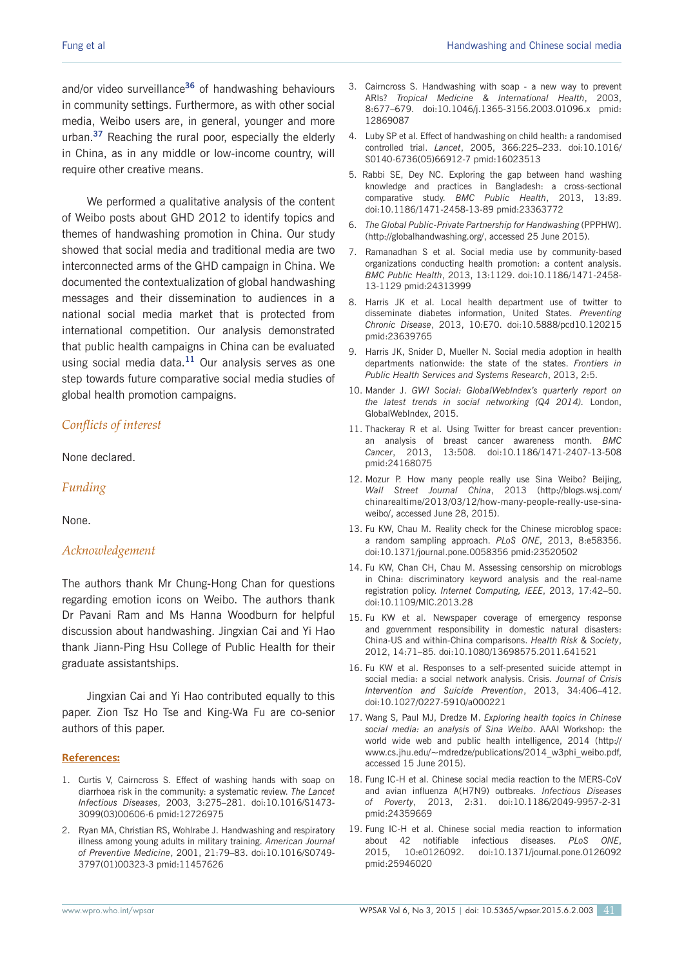and/or video surveillance**<sup>36</sup>** of handwashing behaviours in community settings. Furthermore, as with other social media, Weibo users are, in general, younger and more urban.**<sup>37</sup>** Reaching the rural poor, especially the elderly in China, as in any middle or low-income country, will require other creative means.

We performed a qualitative analysis of the content of Weibo posts about GHD 2012 to identify topics and themes of handwashing promotion in China. Our study showed that social media and traditional media are two interconnected arms of the GHD campaign in China. We documented the contextualization of global handwashing messages and their dissemination to audiences in a national social media market that is protected from international competition. Our analysis demonstrated that public health campaigns in China can be evaluated using social media data.**<sup>11</sup>** Our analysis serves as one step towards future comparative social media studies of global health promotion campaigns.

# *Conflicts of interest*

None declared.

#### *Funding*

None.

#### *Acknowledgement*

The authors thank Mr Chung-Hong Chan for questions regarding emotion icons on Weibo. The authors thank Dr Pavani Ram and Ms Hanna Woodburn for helpful discussion about handwashing. Jingxian Cai and Yi Hao thank Jiann-Ping Hsu College of Public Health for their graduate assistantships.

Jingxian Cai and Yi Hao contributed equally to this paper. Zion Tsz Ho Tse and King-Wa Fu are co-senior authors of this paper.

#### **References:**

- 1. Curtis V, Cairncross S. Effect of washing hands with soap on diarrhoea risk in the community: a systematic review. *The Lancet Infectious Diseases*, 2003, 3:275–281. doi:10.1016/S1473- 3099(03)00606-6 pmid:12726975
- 2. Ryan MA, Christian RS, Wohlrabe J. Handwashing and respiratory illness among young adults in military training. *American Journal of Preventive Medicine*, 2001, 21:79–83. doi:10.1016/S0749- 3797(01)00323-3 pmid:11457626
- 3. Cairncross S. Handwashing with soap a new way to prevent ARIs? *Tropical Medicine & International Health*, 2003, 8:677–679. doi:10.1046/j.1365-3156.2003.01096.x pmid: 12869087
- 4. Luby SP et al. Effect of handwashing on child health: a randomised controlled trial. *Lancet*, 2005, 366:225–233. doi:10.1016/ S0140-6736(05)66912-7 pmid:16023513
- 5. Rabbi SE, Dey NC. Exploring the gap between hand washing knowledge and practices in Bangladesh: a cross-sectional comparative study. *BMC Public Health*, 2013, 13:89. doi:10.1186/1471-2458-13-89 pmid:23363772
- 6. *The Global Public-Private Partnership for Handwashing* (PPPHW). (http://globalhandwashing.org/, accessed 25 June 2015).
- 7. Ramanadhan S et al. Social media use by community-based organizations conducting health promotion: a content analysis. *BMC Public Health*, 2013, 13:1129. doi:10.1186/1471-2458- 13-1129 pmid:24313999
- 8. Harris JK et al. Local health department use of twitter to disseminate diabetes information, United States. *Preventing Chronic Disease*, 2013, 10:E70. doi:10.5888/pcd10.120215 pmid:23639765
- 9. Harris JK, Snider D, Mueller N. Social media adoption in health departments nationwide: the state of the states. *Frontiers in Public Health Services and Systems Research*, 2013, 2:5.
- 10. Mander J. *GWI Social: GlobalWebIndex's quarterly report on the latest trends in social networking (Q4 2014).* London, GlobalWebIndex, 2015.
- 11. Thackeray R et al. Using Twitter for breast cancer prevention: an analysis of breast cancer awareness month. *BMC Cancer*, 2013, 13:508. doi:10.1186/1471-2407-13-508 pmid:24168075
- 12. Mozur P. How many people really use Sina Weibo? Beijing, *Wall Street Journal China*, 2013 (http://blogs.wsj.com/ chinarealtime/2013/03/12/how-many-people-really-use-sinaweibo/, accessed June 28, 2015).
- 13. Fu KW, Chau M. Reality check for the Chinese microblog space: a random sampling approach. *PLoS ONE*, 2013, 8:e58356. doi:10.1371/journal.pone.0058356 pmid:23520502
- 14. Fu KW, Chan CH, Chau M. Assessing censorship on microblogs in China: discriminatory keyword analysis and the real-name registration policy. *Internet Computing, IEEE*, 2013, 17:42–50. doi:10.1109/MIC.2013.28
- 15. Fu KW et al. Newspaper coverage of emergency response and government responsibility in domestic natural disasters: China-US and within-China comparisons. *Health Risk & Society*, 2012, 14:71–85. doi:10.1080/13698575.2011.641521
- 16. Fu KW et al. Responses to a self-presented suicide attempt in social media: a social network analysis. Crisis. *Journal of Crisis Intervention and Suicide Prevention*, 2013, 34:406–412. doi:10.1027/0227-5910/a000221
- 17. Wang S, Paul MJ, Dredze M. *Exploring health topics in Chinese social media: an analysis of Sina Weibo*. AAAI Workshop: the world wide web and public health intelligence, 2014 (http:// www.cs.jhu.edu/~mdredze/publications/2014\_w3phi\_weibo.pdf, accessed 15 June 2015).
- 18. Fung IC-H et al. Chinese social media reaction to the MERS-CoV and avian influenza A(H7N9) outbreaks. *Infectious Diseases of Poverty*, 2013, 2:31. doi:10.1186/2049-9957-2-31 pmid:24359669
- 19. Fung IC-H et al. Chinese social media reaction to information about 42 notifiable infectious diseases. *PLoS ONE*, 2015, 10:e0126092. doi:10.1371/journal.pone.0126092 pmid:25946020